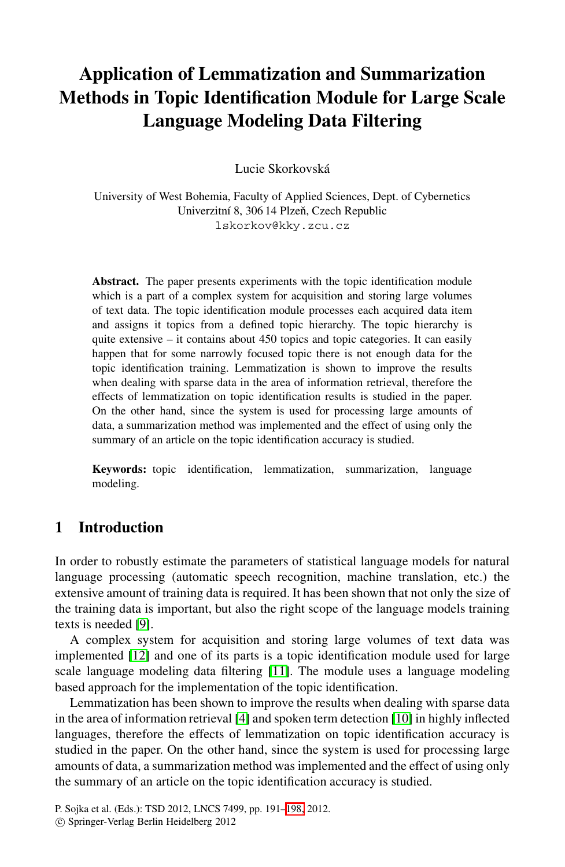# **Application of Lemmatization and Summarization Methods in Topic Identification Module for Large Scale Language Modeling Data Filtering**

Lucie Skorkovská

University of West Bohemia, Faculty of Applied Sciences, Dept. of Cybernetics Univerzitní 8, 306 14 Plzeň, Czech Republic lskorkov@kky.zcu.cz

**Abstract.** The paper presents experiments with the topic identification module which is a part of a complex system for acquisition and storing large volumes of text data. The topic identification module processes each acquired data item and assigns it topics from a defined topic hierarchy. The topic hierarchy is quite extensive – it contains about 450 topics and topic categories. It can easily happen that for some narrowly focused topic there is not enough data for the topic identification training. Lemmatization is shown to improve the results when dealing with sparse data in the area of information retrieval, therefore the effects of lemmatization on topic identification results is studied in the paper. On the other hand, since the system is used for processing large amounts of data, a summarization method was implemented and the effect of using only the summary of an article on the topic identification accuracy is studied.

**Keywords:** topic identification, lemmatization, summarization, language modeling.

# **1 Introduction**

In order to robustly estimate the parameters of statistical language models for natural language processing (automatic speech recognition, machine translation, etc.) the extensive amount of training data is required. It has been shown that not only the size of the training data is important, but also the right scope of the language models training texts is needed [\[9\]](#page-7-0).

A complex system for acquisition and storing large volumes of text data was implemented [\[12\]](#page-7-1) and one of its parts is a topic identification module used for large scale language modeling data filtering [\[11\]](#page-7-2). The module uses a language modeling based approach for the implementation of the topic identification.

Lemmatization has been shown to improve the results when dealing with sparse data in the area of information retrieval [\[4\]](#page-6-0) and spoken term detection [\[10\]](#page-7-3) in highly inflected languages, therefore the effects of lemmatization on topic identification accuracy is studied in the paper. On the other hand, since the system is used for processing large amounts of data, a summarization method was implemented and the effect of using only the summary of an article on the topic identification accuracy is studied.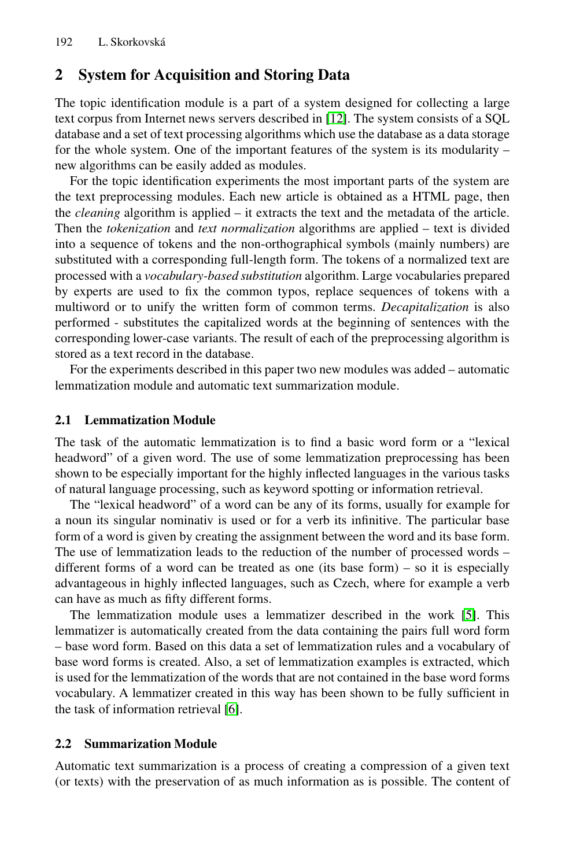# **2 System for Acquisition and Storing Data**

The topic identification module is a part of a system designed for collecting a large text corpus from Internet news servers described in [\[12\]](#page-7-1). The system consists of a SQL database and a set of text processing algorithms which use the database as a data storage for the whole system. One of the important features of the system is its modularity – new algorithms can be easily added as modules.

For the topic identification experiments the most important parts of the system are the text preprocessing modules. Each new article is obtained as a HTML page, then the *cleaning* algorithm is applied – it extracts the text and the metadata of the article. Then the *tokenization* and *text normalization* algorithms are applied – text is divided into a sequence of tokens and the non-orthographical symbols (mainly numbers) are substituted with a corresponding full-length form. The tokens of a normalized text are processed with a *vocabulary-based substitution* algorithm. Large vocabularies prepared by experts are used to fix the common typos, replace sequences of tokens with a multiword or to unify the written form of common terms. *Decapitalization* is also performed - substitutes the capitalized words at the beginning of sentences with the corresponding lower-case variants. The result of each of the preprocessing algorithm is stored as a text record in the database.

For the experiments described in this paper two new modules was added – automatic lemmatization module and automatic text summarization module.

#### **2.1 Lemmatization Module**

The task of the automatic lemmatization is to find a basic word form or a "lexical headword" of a given word. The use of some lemmatization preprocessing has been shown to be especially important for the highly inflected languages in the various tasks of natural language processing, such as keyword spotting or information retrieval.

The "lexical headword" of a word can be any of its forms, usually for example for a noun its singular nominativ is used or for a verb its infinitive. The particular base form of a word is given by creating the assignment between the word and its base form. The use of lemmatization leads to the reduction of the number of processed words – different forms of a word can be treated as one (its base form) – so it is especially advantageous in highly inflected languages, such as Czech, where for example a verb can have as much as fifty different forms.

The lemmatization module uses a lemmatizer described in the work [\[5\]](#page-7-5). This lemmatizer is automatically created from the data containing the pairs full word form – base word form. Based on this data a set of lemmatization rules and a vocabulary of base word forms is created. Also, a set of lemmatization examples is extracted, which is used for the lemmatization of the words that are not contained in the base word forms vocabulary. A lemmatizer created in this way has been shown to be fully sufficient in the task of information retrieval [\[6\]](#page-7-6).

#### **2.2 Summarization Module**

Automatic text summarization is a process of creating a compression of a given text (or texts) with the preservation of as much information as is possible. The content of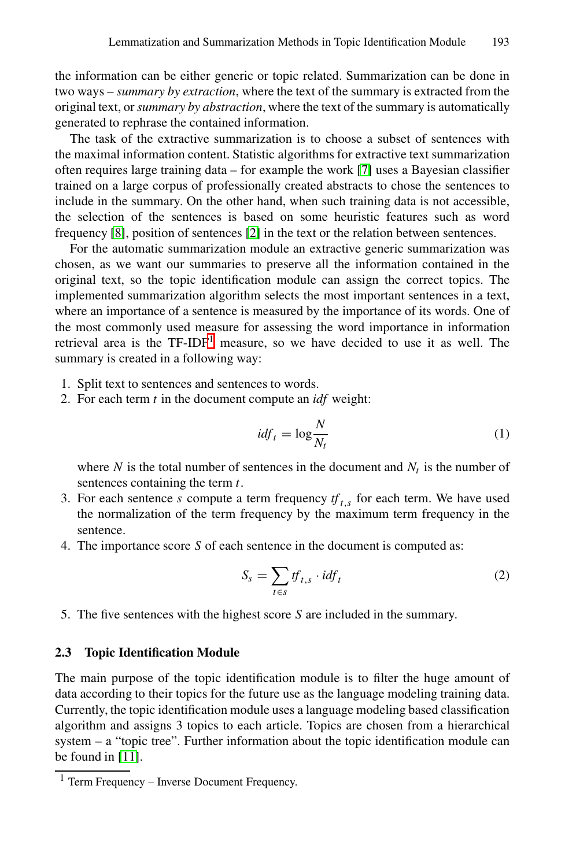the information can be either generic or topic related. Summarization can be done in two ways – *summary by extraction*, where the text of the summary is extracted from the original text, or *summary by abstraction*, where the text of the summary is automatically generated to rephrase the contained information.

The task of the extractive summarization is to choose a subset of sentences with the maximal information content. Statistic algorithms for extractive text summarization often requires large training data – for example the work [\[7\]](#page-7-7) uses a Bayesian classifier trained on a large corpus of professionally created abstracts to chose the sentences to include in the summary. On the other hand, when such training data is not accessible, the selection of the sentences is based on some heuristic features such as word frequency [\[8\]](#page-7-8), position of sentences [\[2\]](#page-6-1) in the text or the relation between sentences.

For the automatic summarization module an extractive generic summarization was chosen, as we want our summaries to preserve all the information contained in the original text, so the topic identification module can assign the correct topics. The implemented summarization algorithm selects the most important sentences in a text, where an importance of a sentence is measured by the importance of its words. One of the most commonly used measure for assessing the word importance in information retrieval area is the  $TF-IDF<sup>1</sup>$  measure, so we have decided to use it as well. The summary is created in a following way:

- 1. Split text to sentences and sentences to words.
- 2. For each term *t* in the document compute an *idf* weight:

$$
idf_t = \log \frac{N}{N_t} \tag{1}
$$

where  $N$  is the total number of sentences in the document and  $N_t$  is the number of sentences containing the term *t*.

- 3. For each sentence *s* compute a term frequency  $tf_t$ , for each term. We have used the normalization of the term frequency by the maximum term frequency in the sentence.
- 4. The importance score *S* of each sentence in the document is computed as:

$$
S_s = \sum_{t \in s} t f_{t,s} \cdot idf_t \tag{2}
$$

5. The five sentences with the highest score *S* are included in the summary.

#### **2.3 Topic Identification Module**

<span id="page-2-0"></span>The main purpose of the topic identification module is to filter the huge amount of data according to their topics for the future use as the language modeling training data. Currently, the topic identification module uses a language modeling based classification algorithm and assigns 3 topics to each article. Topics are chosen from a hierarchical system – a "topic tree". Further information about the topic identification module can be found in [\[11\]](#page-7-2).

<sup>1</sup> Term Frequency – Inverse Document Frequency.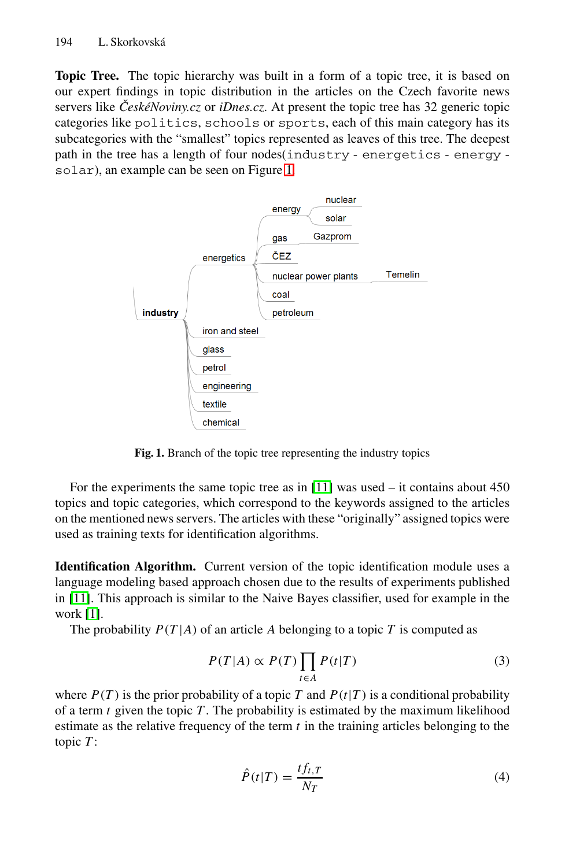<span id="page-3-0"></span>**Topic Tree.** The topic hierarchy was built in a form of a topic tree, it is based on our expert findings in topic distribution in the articles on the Czech favorite news servers like *CeskéNoviny.cz* or *iDnes.cz*. At present the topic tree has 32 generic topic categories like politics, schools or sports, each of this main category has its subcategories with the "smallest" topics represented as leaves of this tree. The deepest path in the tree has a length of four nodes(industry - energetics - energy solar), an example can be seen on Figure [1.](#page-3-0)



**Fig. 1.** Branch of the topic tree representing the industry topics

For the experiments the same topic tree as in [\[11\]](#page-7-2) was used – it contains about  $450$ topics and topic categories, which correspond to the keywords assigned to the articles on the mentioned news servers. The articles with these "originally" assigned topics were used as training texts for identification algorithms.

**Identification Algorithm.** Current version of the topic identification module uses a language modeling based approach chosen due to the results of experiments published in [\[11\]](#page-7-2). This approach is similar to the Naive Bayes classifier, used for example in the work [\[1\]](#page-6-2).

The probability  $P(T|A)$  of an article A belonging to a topic T is computed as

$$
P(T|A) \propto P(T) \prod_{t \in A} P(t|T)
$$
 (3)

where  $P(T)$  is the prior probability of a topic *T* and  $P(t|T)$  is a conditional probability of a term *t* given the topic *T* . The probability is estimated by the maximum likelihood estimate as the relative frequency of the term *t* in the training articles belonging to the topic *T* :

$$
\hat{P}(t|T) = \frac{t f_{t,T}}{N_T} \tag{4}
$$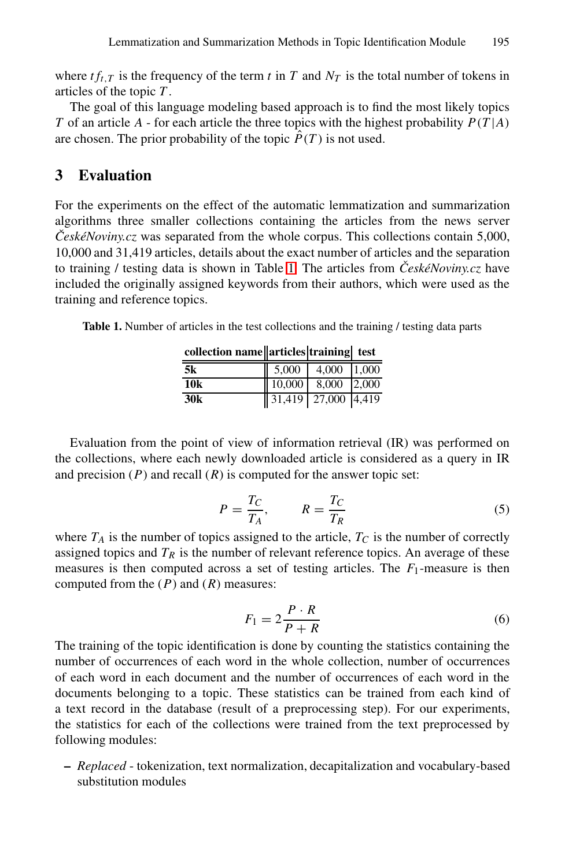where  $tf_{t,T}$  is the frequency of the term *t* in *T* and  $N_T$  is the total number of tokens in articles of the topic *T* .

The goal of this language modeling based approach is to find the most likely topics *T* of an article *A* - for each article the three topics with the highest probability  $P(T|A)$ are chosen. The prior probability of the topic  $\hat{P}(T)$  is not used.

# **3 Evaluation**

<span id="page-4-0"></span>For the experiments on the effect of the automatic lemmatization and summarization algorithms three smaller collections containing the articles from the news server *CeskéNoviny.cz* was separated from the whole corpus. This collections contain 5,000, 10,000 and 31,419 articles, details about the exact number of articles and the separation to training / testing data is shown in Table [1.](#page-4-0) The articles from *CeskéNoviny.cz* have included the originally assigned keywords from their authors, which were used as the training and reference topics.

**Table 1.** Number of articles in the test collections and the training / testing data parts

| collection name  articles training  test |                                    |  |
|------------------------------------------|------------------------------------|--|
| 5k                                       | $\parallel$ 5,000   4,000   1,000  |  |
| 10 <sub>k</sub>                          | $\parallel$ 10,000 \ 8,000 \ 2,000 |  |
| 30k                                      | $\parallel$ 31,419 27,000 4,419    |  |

**collection name articles training test**

Evaluation from the point of view of information retrieval (IR) was performed on the collections, where each newly downloaded article is considered as a query in IR and precision  $(P)$  and recall  $(R)$  is computed for the answer topic set:

$$
P = \frac{T_C}{T_A}, \qquad R = \frac{T_C}{T_R} \tag{5}
$$

where  $T_A$  is the number of topics assigned to the article,  $T_C$  is the number of correctly assigned topics and  $T_R$  is the number of relevant reference topics. An average of these measures is then computed across a set of testing articles. The *F*1-measure is then computed from the (*P*) and (*R*) measures:

$$
F_1 = 2\frac{P \cdot R}{P + R} \tag{6}
$$

The training of the topic identification is done by counting the statistics containing the number of occurrences of each word in the whole collection, number of occurrences of each word in each document and the number of occurrences of each word in the documents belonging to a topic. These statistics can be trained from each kind of a text record in the database (result of a preprocessing step). For our experiments, the statistics for each of the collections were trained from the text preprocessed by following modules:

**–** *Replaced* - tokenization, text normalization, decapitalization and vocabulary-based substitution modules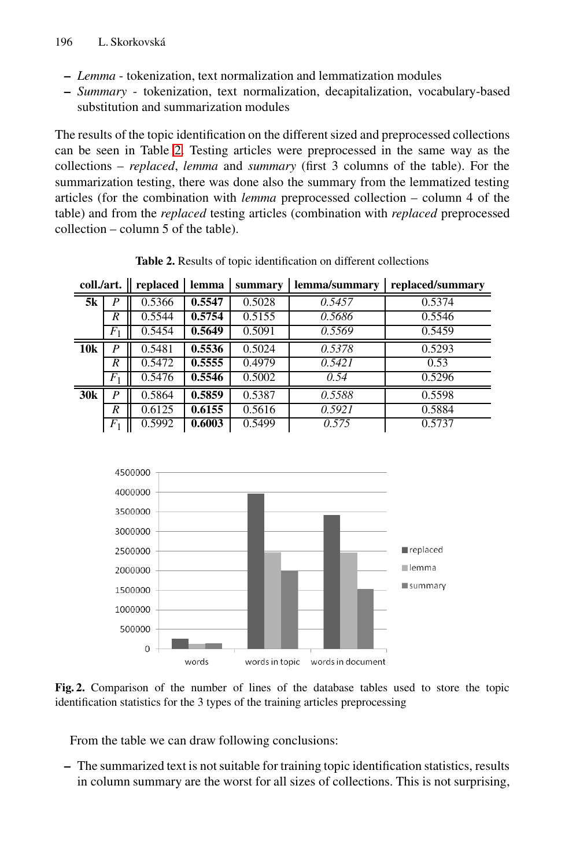- **–** *Lemma* tokenization, text normalization and lemmatization modules
- **–** *Summary* tokenization, text normalization, decapitalization, vocabulary-based substitution and summarization modules

<span id="page-5-0"></span>The results of the topic identification on the different sized and preprocessed collections can be seen in Table [2.](#page-5-0) Testing articles were preprocessed in the same way as the collections – *replaced*, *lemma* and *summary* (first 3 columns of the table). For the summarization testing, there was done also the summary from the lemmatized testing articles (for the combination with *lemma* preprocessed collection – column 4 of the table) and from the *replaced* testing articles (combination with *replaced* preprocessed collection – column 5 of the table).

| coll./art. |                | replaced | lemma  | summary | lemma/summary | replaced/summary |
|------------|----------------|----------|--------|---------|---------------|------------------|
| 5k         | P              | 0.5366   | 0.5547 | 0.5028  | 0.5457        | 0.5374           |
|            | R              | 0.5544   | 0.5754 | 0.5155  | 0.5686        | 0.5546           |
|            | F <sub>1</sub> | 0.5454   | 0.5649 | 0.5091  | 0.5569        | 0.5459           |
| <b>10k</b> | P              | 0.5481   | 0.5536 | 0.5024  | 0.5378        | 0.5293           |
|            | R              | 0.5472   | 0.5555 | 0.4979  | 0.5421        | 0.53             |
|            | F <sub>1</sub> | 0.5476   | 0.5546 | 0.5002  | 0.54          | 0.5296           |
| 30k        | P              | 0.5864   | 0.5859 | 0.5387  | 0.5588        | 0.5598           |
|            | R              | 0.6125   | 0.6155 | 0.5616  | 0.5921        | 0.5884           |
|            | F <sub>1</sub> | 0.5992   | 0.6003 | 0.5499  | 0.575         | 0.5737           |

<span id="page-5-1"></span>**Table 2.** Results of topic identification on different collections



**Fig. 2.** Comparison of the number of lines of the database tables used to store the topic identification statistics for the 3 types of the training articles preprocessing

From the table we can draw following conclusions:

**–** The summarized text is not suitable for training topic identification statistics, results in column summary are the worst for all sizes of collections. This is not surprising,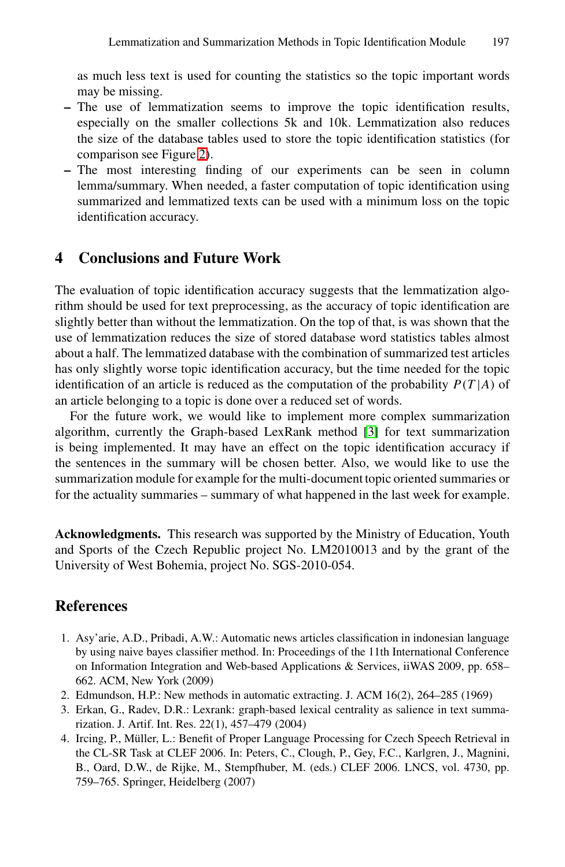as much less text is used for counting the statistics so the topic important words may be missing.

- **–** The use of lemmatization seems to improve the topic identification results, especially on the smaller collections 5k and 10k. Lemmatization also reduces the size of the database tables used to store the topic identification statistics (for comparison see Figure [2\)](#page-5-1).
- **–** The most interesting finding of our experiments can be seen in column lemma/summary. When needed, a faster computation of topic identification using summarized and lemmatized texts can be used with a minimum loss on the topic identification accuracy.

### **4 Conclusions and Future Work**

The evaluation of topic identification accuracy suggests that the lemmatization algorithm should be used for text preprocessing, as the accuracy of topic identification are slightly better than without the lemmatization. On the top of that, is was shown that the use of lemmatization reduces the size of stored database word statistics tables almost about a half. The lemmatized database with the combination of summarized test articles has only slightly worse topic identification accuracy, but the time needed for the topic identification of an article is reduced as the computation of the probability  $P(T|A)$  of an article belonging to a topic is done over a reduced set of words.

For the future work, we would like to implement more complex summarization algorithm, currently the Graph-based LexRank method [\[3\]](#page-6-3) for text summarization is being implemented. It may have an effect on the topic identification accuracy if the sentences in the summary will be chosen better. Also, we would like to use the summarization module for example for the multi-document topic oriented summaries or for the actuality summaries – summary of what happened in the last week for example.

<span id="page-6-2"></span><span id="page-6-1"></span>**Acknowledgments.** This research was supported by the Ministry of Education, Youth and Sports of the Czech Republic project No. LM2010013 and by the grant of the University of West Bohemia, project No. SGS-2010-054.

# <span id="page-6-3"></span>**References**

- <span id="page-6-0"></span>1. Asy'arie, A.D., Pribadi, A.W.: Automatic news articles classification in indonesian language by using naive bayes classifier method. In: Proceedings of the 11th International Conference on Information Integration and Web-based Applications & Services, iiWAS 2009, pp. 658– 662. ACM, New York (2009)
- 2. Edmundson, H.P.: New methods in automatic extracting. J. ACM 16(2), 264–285 (1969)
- 3. Erkan, G., Radev, D.R.: Lexrank: graph-based lexical centrality as salience in text summarization. J. Artif. Int. Res. 22(1), 457–479 (2004)
- 4. Ircing, P., Müller, L.: Benefit of Proper Language Processing for Czech Speech Retrieval in the CL-SR Task at CLEF 2006. In: Peters, C., Clough, P., Gey, F.C., Karlgren, J., Magnini, B., Oard, D.W., de Rijke, M., Stempfhuber, M. (eds.) CLEF 2006. LNCS, vol. 4730, pp. 759–765. Springer, Heidelberg (2007)